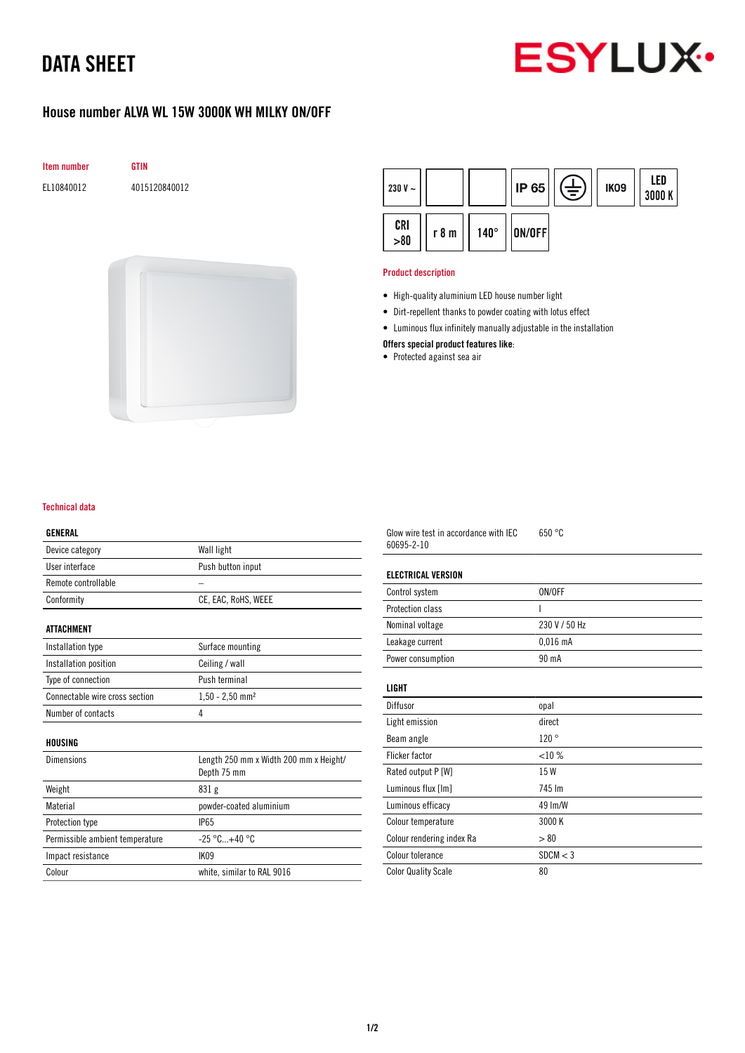# DATA SHEET



## House number ALVA WL 15W 3000K WH MILKY ON/OFF



EL10840012 4015120840012





#### Product description

- High-quality aluminium LED house number light
- Dirt-repellent thanks to powder coating with lotus effect
- Luminous flux infinitely manually adjustable in the installation
- Offers special product features like:
- Protected against sea air

| Technical data |  |
|----------------|--|
|                |  |

#### GENERAL

| Device category                 | Wall light                             |
|---------------------------------|----------------------------------------|
| User interface                  | Push button input                      |
| Remote controllable             |                                        |
| Conformity                      | CE, EAC, RoHS, WEEE                    |
| ATTACHMENT                      |                                        |
|                                 |                                        |
| Installation type               | Surface mounting                       |
| Installation position           | Ceiling / wall                         |
| Type of connection              | Push terminal                          |
| Connectable wire cross section  | $1,50 - 2,50$ mm <sup>2</sup>          |
| Number of contacts              | 4                                      |
| HOUSING                         |                                        |
| <b>Dimensions</b>               | Length 250 mm x Width 200 mm x Height/ |
|                                 | Depth 75 mm                            |
| Weight                          | 831g                                   |
| Material                        | powder-coated aluminium                |
|                                 |                                        |
| <b>Protection type</b>          | <b>IP65</b>                            |
| Permissible ambient temperature | $-25 °C+40 °C$                         |
| Impact resistance               | IK09                                   |
| Colour                          | white, similar to RAL 9016             |

Glow wire test in accordance with IEC 60695-2-10 650 °C

### ELECTRICAL VERSION

| Control system    | ON/OFF        |
|-------------------|---------------|
| Protection class  |               |
| Nominal voltage   | 230 V / 50 Hz |
| Leakage current   | $0.016$ mA    |
| Power consumption | 90 mA         |

### LIGHT

| Diffusor                   | opal     |
|----------------------------|----------|
| Light emission             | direct   |
| Beam angle                 | 120°     |
| Flicker factor             | <10%     |
| Rated output P [W]         | 15 W     |
| Luminous flux [Im]         | 745 Im   |
| Luminous efficacy          | 49 Im/W  |
| Colour temperature         | 3000 K   |
| Colour rendering index Ra  | > 80     |
| Colour tolerance           | SDCM < 3 |
| <b>Color Quality Scale</b> | 80       |
|                            |          |